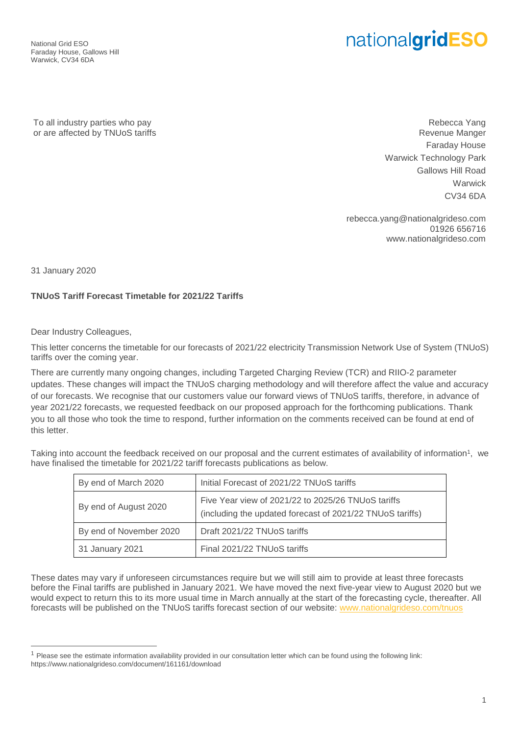National Grid ESO Faraday House, Gallows Hill Warwick, CV34 6DA

# nationalgridESO

To all industry parties who pay or are affected by TNUoS tariffs

Rebecca Yang Revenue Manger Faraday House Warwick Technology Park Gallows Hill Road **Warwick** CV34 6DA

rebecca.yang@nationalgrideso.com 01926 656716 www.nationalgrideso.com

31 January 2020

 $\overline{a}$ 

## **TNUoS Tariff Forecast Timetable for 2021/22 Tariffs**

Dear Industry Colleagues,

This letter concerns the timetable for our forecasts of 2021/22 electricity Transmission Network Use of System (TNUoS) tariffs over the coming year.

There are currently many ongoing changes, including Targeted Charging Review (TCR) and RIIO-2 parameter updates. These changes will impact the TNUoS charging methodology and will therefore affect the value and accuracy of our forecasts. We recognise that our customers value our forward views of TNUoS tariffs, therefore, in advance of year 2021/22 forecasts, we requested feedback on our proposed approach for the forthcoming publications. Thank you to all those who took the time to respond, further information on the comments received can be found at end of this letter.

Taking into account the feedback received on our proposal and the current estimates of availability of information<sup>1</sup>, we have finalised the timetable for 2021/22 tariff forecasts publications as below.

| By end of March 2020    | Initial Forecast of 2021/22 TNUoS tariffs                                                                       |
|-------------------------|-----------------------------------------------------------------------------------------------------------------|
| By end of August 2020   | Five Year view of 2021/22 to 2025/26 TNUoS tariffs<br>(including the updated forecast of 2021/22 TNUoS tariffs) |
| By end of November 2020 | Draft 2021/22 TNUoS tariffs                                                                                     |
| 31 January 2021         | Final 2021/22 TNUoS tariffs                                                                                     |

These dates may vary if unforeseen circumstances require but we will still aim to provide at least three forecasts before the Final tariffs are published in January 2021. We have moved the next five-year view to August 2020 but we would expect to return this to its more usual time in March annually at the start of the forecasting cycle, thereafter. All forecasts will be published on the TNUoS tariffs forecast section of our website: [www.nationalgrideso.com/tnuos](http://www.nationalgrideso.com/tnuos) 

<sup>&</sup>lt;sup>1</sup> Please see the estimate information availability provided in our consultation letter which can be found using the following link: https://www.nationalgrideso.com/document/161161/download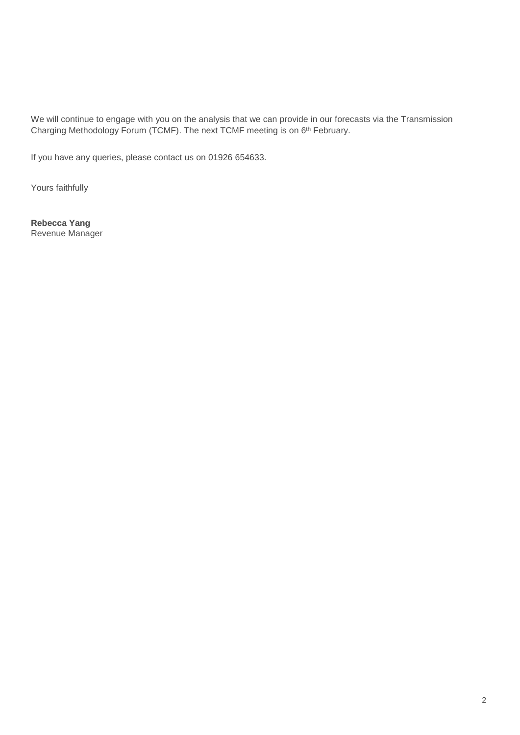We will continue to engage with you on the analysis that we can provide in our forecasts via the Transmission Charging Methodology Forum (TCMF). The next TCMF meeting is on 6<sup>th</sup> February.

If you have any queries, please contact us on 01926 654633.

Yours faithfully

**Rebecca Yang** Revenue Manager